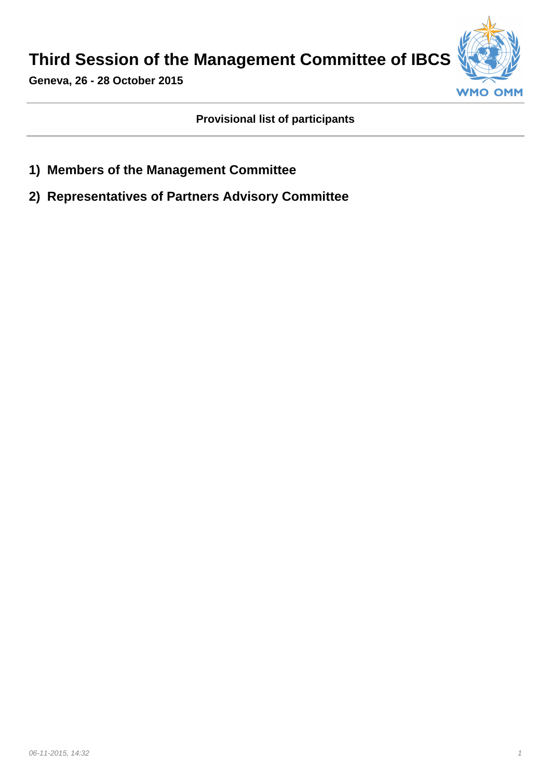**Third Session of the Management Committee of IBCS**



**Geneva, 26 - 28 October 2015**

**Provisional list of participants**

- **1) Members of the Management Committee**
- **2) Representatives of Partners Advisory Committee**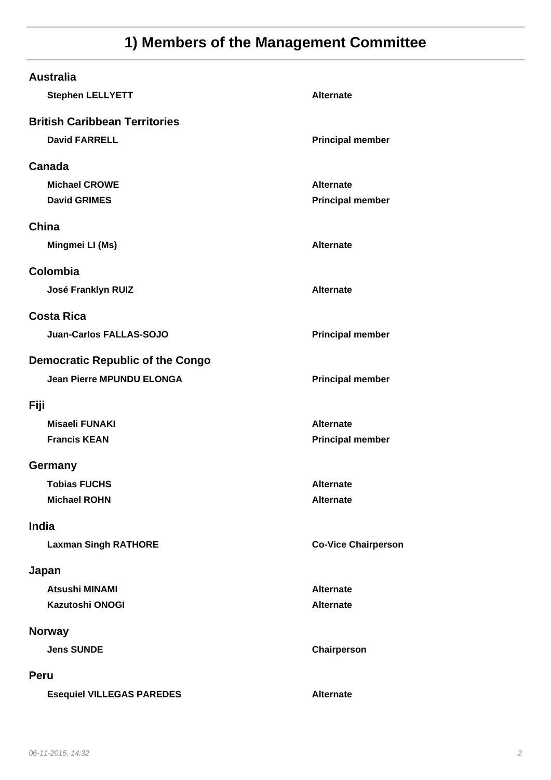## **1) Members of the Management Committee**

| <b>Australia</b><br><b>Stephen LELLYETT</b> | <b>Alternate</b>           |
|---------------------------------------------|----------------------------|
| <b>British Caribbean Territories</b>        |                            |
| <b>David FARRELL</b>                        | <b>Principal member</b>    |
| Canada                                      |                            |
| <b>Michael CROWE</b>                        | <b>Alternate</b>           |
| <b>David GRIMES</b>                         | <b>Principal member</b>    |
| China                                       |                            |
| Mingmei LI (Ms)                             | <b>Alternate</b>           |
| Colombia                                    |                            |
| José Franklyn RUIZ                          | <b>Alternate</b>           |
| <b>Costa Rica</b>                           |                            |
| <b>Juan-Carlos FALLAS-SOJO</b>              | <b>Principal member</b>    |
| <b>Democratic Republic of the Congo</b>     |                            |
| <b>Jean Pierre MPUNDU ELONGA</b>            | <b>Principal member</b>    |
|                                             |                            |
| Fiji                                        |                            |
| <b>Misaeli FUNAKI</b>                       | <b>Alternate</b>           |
| <b>Francis KEAN</b>                         | <b>Principal member</b>    |
| Germany                                     |                            |
| <b>Tobias FUCHS</b>                         | Alternate                  |
| <b>Michael ROHN</b>                         | <b>Alternate</b>           |
| India                                       |                            |
| <b>Laxman Singh RATHORE</b>                 | <b>Co-Vice Chairperson</b> |
| Japan                                       |                            |
| <b>Atsushi MINAMI</b>                       | <b>Alternate</b>           |
| <b>Kazutoshi ONOGI</b>                      | <b>Alternate</b>           |
| <b>Norway</b>                               |                            |
| <b>Jens SUNDE</b>                           | Chairperson                |
| <b>Peru</b>                                 |                            |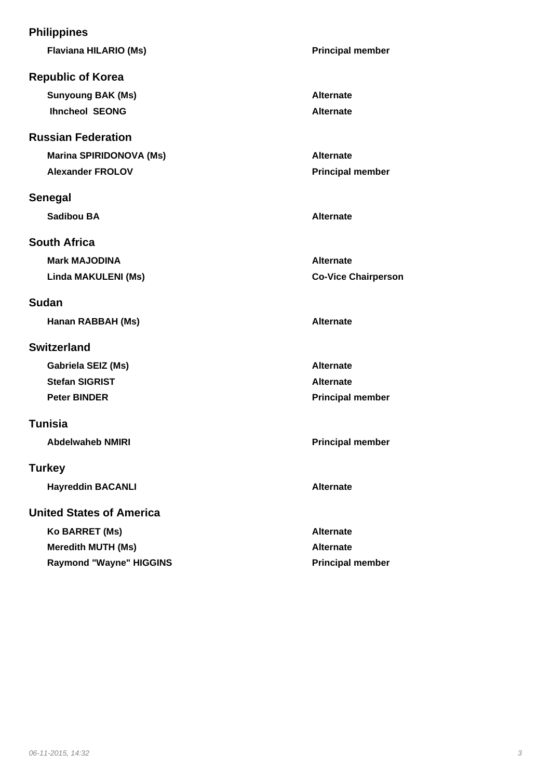| <b>Philippines</b>              |                            |
|---------------------------------|----------------------------|
| <b>Flaviana HILARIO (Ms)</b>    | <b>Principal member</b>    |
| <b>Republic of Korea</b>        |                            |
| <b>Sunyoung BAK (Ms)</b>        | <b>Alternate</b>           |
| <b>Ihncheol SEONG</b>           | <b>Alternate</b>           |
| <b>Russian Federation</b>       |                            |
| Marina SPIRIDONOVA (Ms)         | <b>Alternate</b>           |
| <b>Alexander FROLOV</b>         | <b>Principal member</b>    |
| <b>Senegal</b>                  |                            |
| <b>Sadibou BA</b>               | <b>Alternate</b>           |
| <b>South Africa</b>             |                            |
| <b>Mark MAJODINA</b>            | <b>Alternate</b>           |
| Linda MAKULENI (Ms)             | <b>Co-Vice Chairperson</b> |
| <b>Sudan</b>                    |                            |
| Hanan RABBAH (Ms)               | <b>Alternate</b>           |
| <b>Switzerland</b>              |                            |
| Gabriela SEIZ (Ms)              | <b>Alternate</b>           |
| <b>Stefan SIGRIST</b>           | <b>Alternate</b>           |
| <b>Peter BINDER</b>             | <b>Principal member</b>    |
| <b>Tunisia</b>                  |                            |
| <b>Abdelwaheb NMIRI</b>         | <b>Principal member</b>    |
| <b>Turkey</b>                   |                            |
| <b>Hayreddin BACANLI</b>        | <b>Alternate</b>           |
| <b>United States of America</b> |                            |
| Ko BARRET (Ms)                  | <b>Alternate</b>           |
| <b>Meredith MUTH (Ms)</b>       | <b>Alternate</b>           |
| <b>Raymond "Wayne" HIGGINS</b>  | <b>Principal member</b>    |